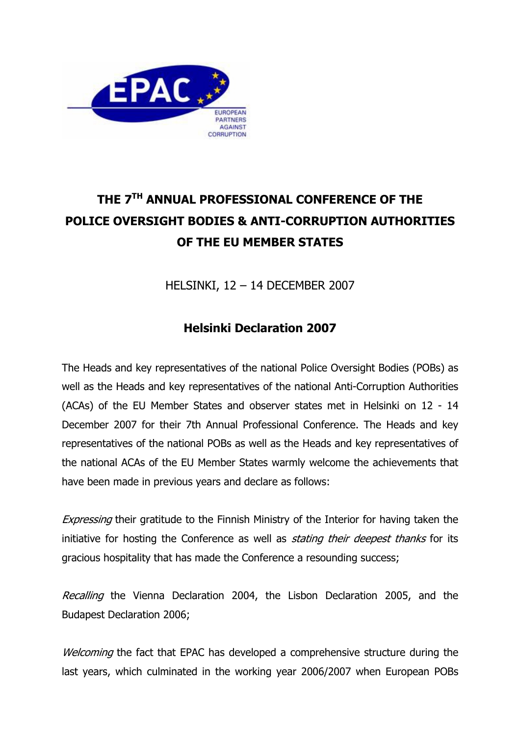

## THE 7<sup>TH</sup> ANNUAL PROFESSIONAL CONFERENCE OF THE POLICE OVERSIGHT BODIES & ANTI-CORRUPTION AUTHORITIES OF THE EU MEMBER STATES

HELSINKI, 12 – 14 DECEMBER 2007

## Helsinki Declaration 2007

The Heads and key representatives of the national Police Oversight Bodies (POBs) as well as the Heads and key representatives of the national Anti-Corruption Authorities (ACAs) of the EU Member States and observer states met in Helsinki on 12 - 14 December 2007 for their 7th Annual Professional Conference. The Heads and key representatives of the national POBs as well as the Heads and key representatives of the national ACAs of the EU Member States warmly welcome the achievements that have been made in previous years and declare as follows:

Expressing their gratitude to the Finnish Ministry of the Interior for having taken the initiative for hosting the Conference as well as *stating their deepest thanks* for its gracious hospitality that has made the Conference a resounding success;

Recalling the Vienna Declaration 2004, the Lisbon Declaration 2005, and the Budapest Declaration 2006;

Welcoming the fact that EPAC has developed a comprehensive structure during the last years, which culminated in the working year 2006/2007 when European POBs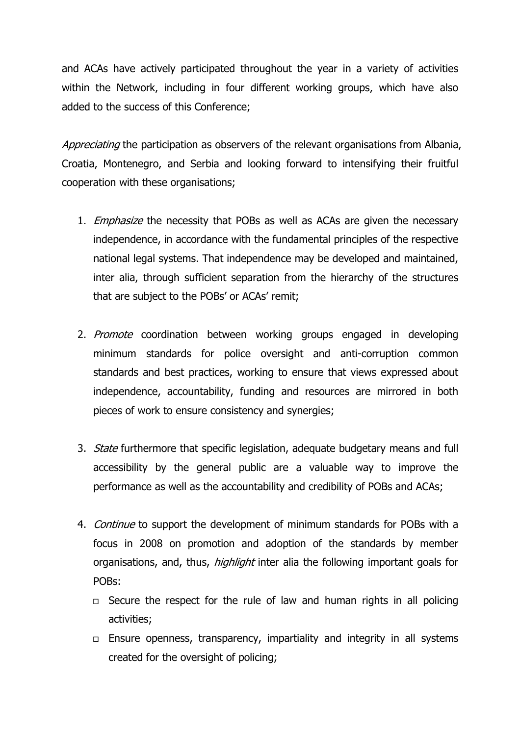and ACAs have actively participated throughout the year in a variety of activities within the Network, including in four different working groups, which have also added to the success of this Conference;

Appreciating the participation as observers of the relevant organisations from Albania, Croatia, Montenegro, and Serbia and looking forward to intensifying their fruitful cooperation with these organisations;

- 1. *Emphasize* the necessity that POBs as well as ACAs are given the necessary independence, in accordance with the fundamental principles of the respective national legal systems. That independence may be developed and maintained, inter alia, through sufficient separation from the hierarchy of the structures that are subject to the POBs' or ACAs' remit;
- 2. Promote coordination between working groups engaged in developing minimum standards for police oversight and anti-corruption common standards and best practices, working to ensure that views expressed about independence, accountability, funding and resources are mirrored in both pieces of work to ensure consistency and synergies;
- 3. *State* furthermore that specific legislation, adequate budgetary means and full accessibility by the general public are a valuable way to improve the performance as well as the accountability and credibility of POBs and ACAs;
- 4. Continue to support the development of minimum standards for POBs with a focus in 2008 on promotion and adoption of the standards by member organisations, and, thus, *highlight* inter alia the following important goals for POBs:
	- $\Box$  Secure the respect for the rule of law and human rights in all policing activities;
	- $\Box$  Ensure openness, transparency, impartiality and integrity in all systems created for the oversight of policing;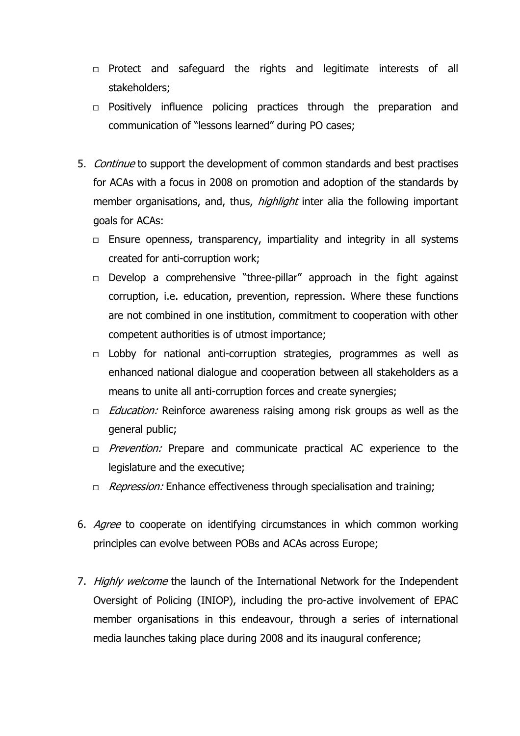- $\Box$  Protect and safeguard the rights and legitimate interests of all stakeholders;
- $\Box$  Positively influence policing practices through the preparation and communication of "lessons learned" during PO cases;
- 5. Continue to support the development of common standards and best practises for ACAs with a focus in 2008 on promotion and adoption of the standards by member organisations, and, thus, *highlight* inter alia the following important goals for ACAs:
	- $\Box$  Ensure openness, transparency, impartiality and integrity in all systems created for anti-corruption work;
	- $\Box$  Develop a comprehensive "three-pillar" approach in the fight against corruption, i.e. education, prevention, repression. Where these functions are not combined in one institution, commitment to cooperation with other competent authorities is of utmost importance;
	- $\Box$  Lobby for national anti-corruption strategies, programmes as well as enhanced national dialogue and cooperation between all stakeholders as a means to unite all anti-corruption forces and create synergies;
	- $\Box$  *Education:* Reinforce awareness raising among risk groups as well as the general public;
	- $P$ revention: Prepare and communicate practical AC experience to the legislature and the executive;
	- $\Box$  Repression: Enhance effectiveness through specialisation and training;
- 6. Agree to cooperate on identifying circumstances in which common working principles can evolve between POBs and ACAs across Europe;
- 7. Highly welcome the launch of the International Network for the Independent Oversight of Policing (INIOP), including the pro-active involvement of EPAC member organisations in this endeavour, through a series of international media launches taking place during 2008 and its inaugural conference;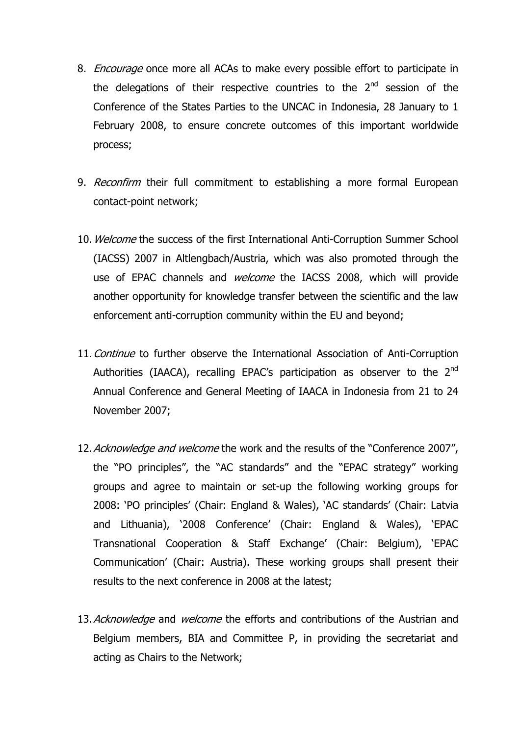- 8. *Encourage* once more all ACAs to make every possible effort to participate in the delegations of their respective countries to the  $2<sup>nd</sup>$  session of the Conference of the States Parties to the UNCAC in Indonesia, 28 January to 1 February 2008, to ensure concrete outcomes of this important worldwide process;
- 9. Reconfirm their full commitment to establishing a more formal European contact-point network;
- 10. Welcome the success of the first International Anti-Corruption Summer School (IACSS) 2007 in Altlengbach/Austria, which was also promoted through the use of EPAC channels and *welcome* the IACSS 2008, which will provide another opportunity for knowledge transfer between the scientific and the law enforcement anti-corruption community within the EU and beyond;
- 11. Continue to further observe the International Association of Anti-Corruption Authorities (IAACA), recalling EPAC's participation as observer to the  $2<sup>nd</sup>$ Annual Conference and General Meeting of IAACA in Indonesia from 21 to 24 November 2007;
- 12. Acknowledge and welcome the work and the results of the "Conference 2007", the "PO principles", the "AC standards" and the "EPAC strategy" working groups and agree to maintain or set-up the following working groups for 2008: 'PO principles' (Chair: England & Wales), 'AC standards' (Chair: Latvia and Lithuania), '2008 Conference' (Chair: England & Wales), 'EPAC Transnational Cooperation & Staff Exchange' (Chair: Belgium), 'EPAC Communication' (Chair: Austria). These working groups shall present their results to the next conference in 2008 at the latest;
- 13. Acknowledge and welcome the efforts and contributions of the Austrian and Belgium members, BIA and Committee P, in providing the secretariat and acting as Chairs to the Network;